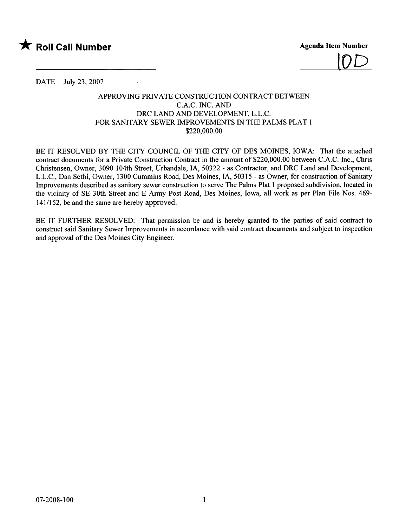

 $\overline{U}D$ 

DATE July 23, 2007

## APPROVING PRIVATE CONSTRUCTION CONTRACT BETWEEN C.A.C. INC. AND DRC LAND AND DEVELOPMENT, L.L.C. FOR SANITARY SEWER IMPROVEMENTS IN THE PALMS PLAT i \$220,000.00

BE IT RESOLVED BY THE CITY COUNCIL OF THE CITY OF DES MOINES, IOWA: That the attached contract documents for a Private Construction Contract in the amount of \$220,000.00 between c.A.C. Inc., Chris Christensen, Owner, 3090 104th Street, Urbandale, lA, 50322 - as Contractor, and DRC Land and Development, L.L.C., Dan Sethi, Owner, 1300 Cummins Road, Des Moines, lA, 50315 - as Owner, for construction of Sanitary Improvements described as sanitary sewer construction to serve The Palms Plat i proposed subdivision, located in the vicinity of SE 30th Street and E Army Post Road, Des Moines, Iowa, all work as per Plan File Nos. 469- 141/152, be and the same are hereby approved.

BE IT FURTHER RESOLVED: That permission be and is hereby granted to the parties of said contract to construct said Sanitary Sewer Improvements in accordance with said contract documents and subject to inspection and approval of the Des Moines City Engineer.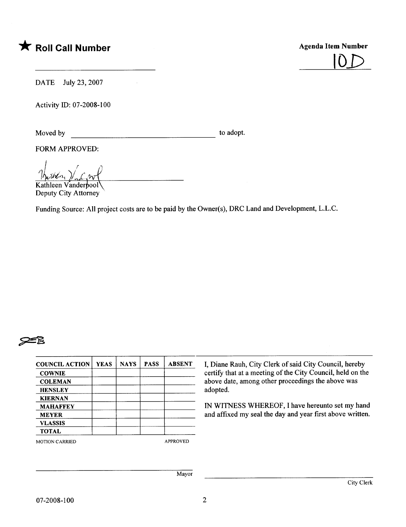## \* Roll Call Number Agenda Item Number



DATE July 23, 2007

 $\mathcal{L}^{\text{max}}_{\text{max}}$ 

Activity 10: 07-2008-100

Moved by to adopt.

FORM APPROVED:

 $\frac{1}{2}$   $\frac{1}{2}$   $\frac{1}{2}$  $\frac{|\hbar_{\nu}\hbar\ell_{n_1}|}{\text{Kathleen Vanderpool}}$ 

Deputy City Attorney'

Funding Source: All project costs are to be paid by the Owner(s), DRC Land and Development, L.L.C.

## ~

| <b>COUNCIL ACTION</b> | <b>YEAS</b>                                       | <b>NAYS</b> | <b>PASS</b> | <b>ABSENT</b>   | I, Diane Rauh, City Clerk of said City Council, hereby     |
|-----------------------|---------------------------------------------------|-------------|-------------|-----------------|------------------------------------------------------------|
| <b>COWNIE</b>         |                                                   |             |             |                 | certify that at a meeting of the City Council, held on the |
| <b>COLEMAN</b>        | above date, among other proceedings the above was |             |             |                 |                                                            |
| <b>HENSLEY</b>        |                                                   |             |             |                 | adopted.                                                   |
| <b>KIERNAN</b>        |                                                   |             |             |                 |                                                            |
| <b>MAHAFFEY</b>       |                                                   |             |             |                 | IN WITNESS WHEREOF, I have hereunto set my hand            |
| <b>MEYER</b>          |                                                   |             |             |                 | and affixed my seal the day and year first above written.  |
| <b>VLASSIS</b>        |                                                   |             |             |                 |                                                            |
| <b>TOTAL</b>          |                                                   |             |             |                 |                                                            |
| <b>MOTION CARRIED</b> |                                                   |             |             | <b>APPROVED</b> |                                                            |
|                       |                                                   |             |             |                 |                                                            |
|                       |                                                   |             |             |                 |                                                            |
|                       |                                                   |             |             |                 |                                                            |